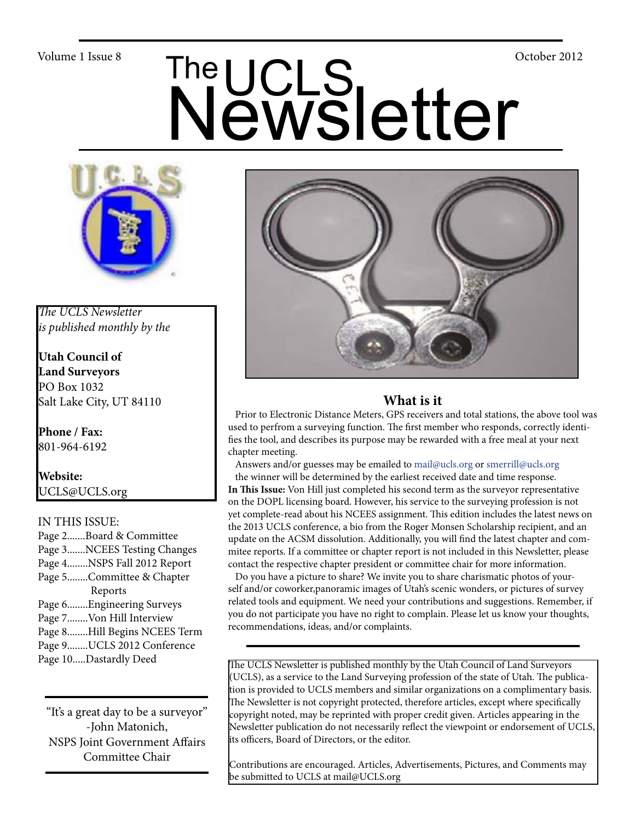# Volume 1 Issue 8<br>
Newsletter



*The UCLS Newsletter is published monthly by the*

**Utah Council of Land Surveyors** PO Box 1032 Salt Lake City, UT 84110

**Phone / Fax:**  801-964-6192

**Website:** UCLS@UCLS.org

# IN THIS ISSUE:

Page 2.......Board & Committee Page 3.......NCEES Testing Changes Page 4........NSPS Fall 2012 Report Page 5........Committee & Chapter Reports Page 6........Engineering Surveys Page 7........Von Hill Interview Page 8........Hill Begins NCEES Term Page 9........UCLS 2012 Conference Page 10.....Dastardly Deed

"It's a great day to be a surveyor" -John Matonich, NSPS Joint Government Affairs Committee Chair



# **What is it**

 Prior to Electronic Distance Meters, GPS receivers and total stations, the above tool was used to perfrom a surveying function. The first member who responds, correctly identifies the tool, and describes its purpose may be rewarded with a free meal at your next chapter meeting.

Answers and/or guesses may be emailed to mail@ucls.org or smerrill@ucls.org

 the winner will be determined by the earliest received date and time response. **In This Issue:** Von Hill just completed his second term as the surveyor representative on the DOPL licensing board. However, his service to the surveying profession is not yet complete-read about his NCEES assignment. This edition includes the latest news on the 2013 UCLS conference, a bio from the Roger Monsen Scholarship recipient, and an update on the ACSM dissolution. Additionally, you will find the latest chapter and commitee reports. If a committee or chapter report is not included in this Newsletter, please contact the respective chapter president or committee chair for more information.

 Do you have a picture to share? We invite you to share charismatic photos of yourself and/or coworker,panoramic images of Utah's scenic wonders, or pictures of survey related tools and equipment. We need your contributions and suggestions. Remember, if you do not participate you have no right to complain. Please let us know your thoughts, recommendations, ideas, and/or complaints.

The UCLS Newsletter is published monthly by the Utah Council of Land Surveyors (UCLS), as a service to the Land Surveying profession of the state of Utah. The publication is provided to UCLS members and similar organizations on a complimentary basis. The Newsletter is not copyright protected, therefore articles, except where specifically copyright noted, may be reprinted with proper credit given. Articles appearing in the Newsletter publication do not necessarily reflect the viewpoint or endorsement of UCLS, its officers, Board of Directors, or the editor.

Contributions are encouraged. Articles, Advertisements, Pictures, and Comments may be submitted to UCLS at mail@UCLS.org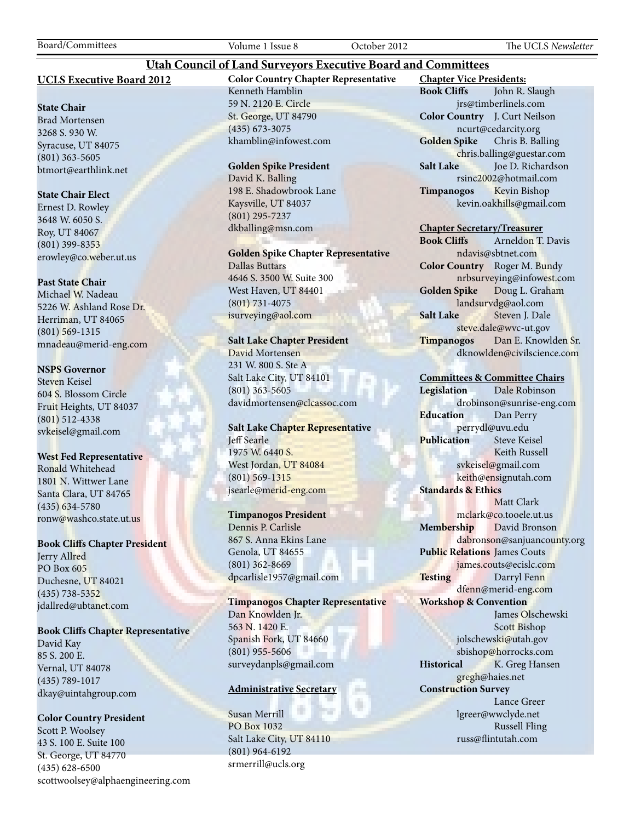# **UCLS Executive Board 2012**

#### **State Chair**

Brad Mortensen 3268 S. 930 W. Syracuse, UT 84075 (801) 363-5605 btmort@earthlink.net

#### **State Chair Elect**

Ernest D. Rowley 3648 W. 6050 S. Roy, UT 84067 (801) 399-8353 erowley@co.weber.ut.us

#### **Past State Chair**

Michael W. Nadeau 5226 W. Ashland Rose Dr. Herriman, UT 84065 (801) 569-1315 mnadeau@merid-eng.com

#### **NSPS Governor**

Steven Keisel 604 S. Blossom Circle Fruit Heights, UT 84037 (801) 512-4338 svkeisel@gmail.com

#### **West Fed Representative**

Ronald Whitehead 1801 N. Wittwer Lane Santa Clara, UT 84765 (435) 634-5780 ronw@washco.state.ut.us

#### **Book Cliffs Chapter President**

Jerry Allred PO Box 605 Duchesne, UT 84021 (435) 738-5352 jdallred@ubtanet.com

#### **Book Cliffs Chapter Representative**

David Kay 85 S. 200 E. Vernal, UT 84078 (435) 789-1017 dkay@uintahgroup.com

## **Color Country President**

Scott P. Woolsey 43 S. 100 E. Suite 100 St. George, UT 84770 (435) 628-6500 scottwoolsey@alphaengineering.com **Color Country Chapter Representative** Kenneth Hamblin 59 N. 2120 E. Circle St. George, UT 84790 (435) 673-3075 khamblin@infowest.com

**Utah Council of Land Surveyors Executive Board and Committees**

#### **Golden Spike President**

David K. Balling 198 E. Shadowbrook Lane Kaysville, UT 84037 (801) 295-7237 dkballing@msn.com

**Golden Spike Chapter Representative** Dallas Buttars 4646 S. 3500 W. Suite 300 West Haven, UT 84401

(801) 731-4075 isurveying@aol.com

# **Salt Lake Chapter President**

David Mortensen 231 W. 800 S. Ste A Salt Lake City, UT 84101 (801) 363-5605 davidmortensen@clcassoc.com

## **Salt Lake Chapter Representative** Jeff Searle 1975 W. 6440 S. West Jordan, UT 84084 (801) 569-1315 jsearle@merid-eng.com

#### **Timpanogos President**

Dennis P. Carlisle 867 S. Anna Ekins Lane Genola, UT 84655 (801) 362-8669 dpcarlisle1957@gmail.com

**Timpanogos Chapter Representative** Dan Knowlden Jr. 563 N. 1420 E. Spanish Fork, UT 84660 (801) 955-5606 surveydanpls@gmail.com

#### **Administrative Secretary**

Susan Merrill PO Box 1032 Salt Lake City, UT 84110 (801) 964-6192 srmerrill@ucls.org

**Chapter Vice Presidents: Book Cliffs** John R. Slaugh jrs@timberlinels.com **Color Country** J. Curt Neilson ncurt@cedarcity.org **Golden Spike** Chris B. Balling chris.balling@guestar.com **Salt Lake** Joe D. Richardson rsinc2002@hotmail.com **Timpanogos** Kevin Bishop kevin.oakhills@gmail.com

#### **Chapter Secretary/Treasurer**

**Book Cliffs** Arneldon T. Davis ndavis@sbtnet.com **Color Country** Roger M. Bundy nrbsurveying@infowest.com **Golden Spike** Doug L. Graham landsurvdg@aol.com **Salt Lake** Steven J. Dale steve.dale@wvc-ut.gov **Timpanogos** Dan E. Knowlden Sr. dknowlden@civilscience.com

#### **Committees & Committee Chairs**

**Legislation** Dale Robinson drobinson@sunrise-eng.com **Education** Dan Perry perrydl@uvu.edu **Publication** Steve Keisel Keith Russell svkeisel@gmail.com keith@ensignutah.com **Standards & Ethics** Matt Clark mclark@co.tooele.ut.us **Membership** David Bronson dabronson@sanjuancounty.org **Public Relations** James Couts james.couts@ecislc.com **Testing** Darryl Fenn dfenn@merid-eng.com **Workshop & Convention** James Olschewski Scott Bishop jolschewski@utah.gov sbishop@horrocks.com **Historical** K. Greg Hansen gregh@haies.net **Construction Survey** Lance Greer lgreer@wwclyde.net Russell Fling russ@flintutah.com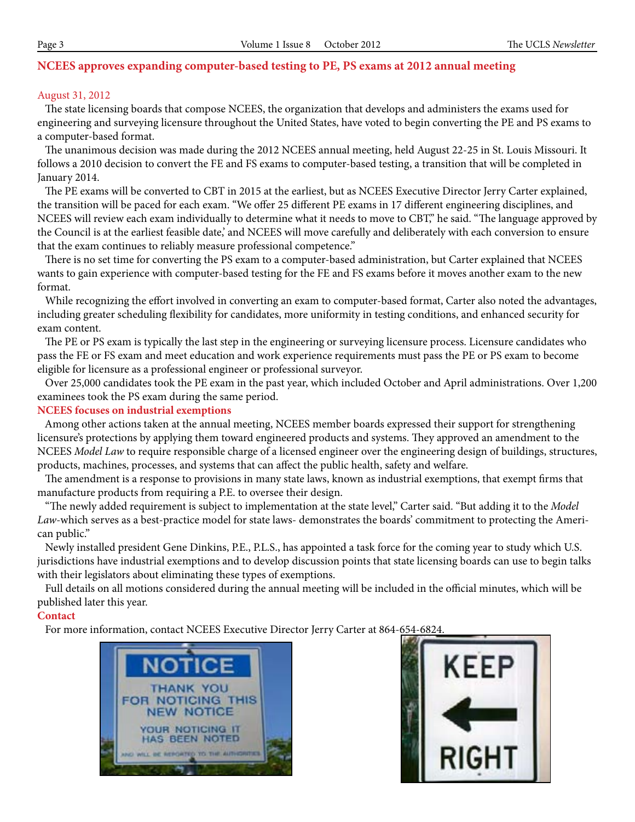# **NCEES approves expanding computer-based testing to PE, PS exams at 2012 annual meeting**

# August 31, 2012

 The state licensing boards that compose NCEES, the organization that develops and administers the exams used for engineering and surveying licensure throughout the United States, have voted to begin converting the PE and PS exams to a computer-based format.

 The unanimous decision was made during the 2012 NCEES annual meeting, held August 22-25 in St. Louis Missouri. It follows a 2010 decision to convert the FE and FS exams to computer-based testing, a transition that will be completed in January 2014.

 The PE exams will be converted to CBT in 2015 at the earliest, but as NCEES Executive Director Jerry Carter explained, the transition will be paced for each exam. "We offer 25 different PE exams in 17 different engineering disciplines, and NCEES will review each exam individually to determine what it needs to move to CBT," he said. "The language approved by the Council is at the earliest feasible date,' and NCEES will move carefully and deliberately with each conversion to ensure that the exam continues to reliably measure professional competence."

 There is no set time for converting the PS exam to a computer-based administration, but Carter explained that NCEES wants to gain experience with computer-based testing for the FE and FS exams before it moves another exam to the new format.

 While recognizing the effort involved in converting an exam to computer-based format, Carter also noted the advantages, including greater scheduling flexibility for candidates, more uniformity in testing conditions, and enhanced security for exam content.

 The PE or PS exam is typically the last step in the engineering or surveying licensure process. Licensure candidates who pass the FE or FS exam and meet education and work experience requirements must pass the PE or PS exam to become eligible for licensure as a professional engineer or professional surveyor.

 Over 25,000 candidates took the PE exam in the past year, which included October and April administrations. Over 1,200 examinees took the PS exam during the same period.

#### **NCEES focuses on industrial exemptions**

Among other actions taken at the annual meeting, NCEES member boards expressed their support for strengthening licensure's protections by applying them toward engineered products and systems. They approved an amendment to the NCEES *Model Law* to require responsible charge of a licensed engineer over the engineering design of buildings, structures, products, machines, processes, and systems that can affect the public health, safety and welfare.

 The amendment is a response to provisions in many state laws, known as industrial exemptions, that exempt firms that manufacture products from requiring a P.E. to oversee their design.

 "The newly added requirement is subject to implementation at the state level," Carter said. "But adding it to the *Model Law*-which serves as a best-practice model for state laws- demonstrates the boards' commitment to protecting the American public."

 Newly installed president Gene Dinkins, P.E., P.L.S., has appointed a task force for the coming year to study which U.S. jurisdictions have industrial exemptions and to develop discussion points that state licensing boards can use to begin talks with their legislators about eliminating these types of exemptions.

 Full details on all motions considered during the annual meeting will be included in the official minutes, which will be published later this year.

#### **Contact**

For more information, contact NCEES Executive Director Jerry Carter at 864-654-6824.



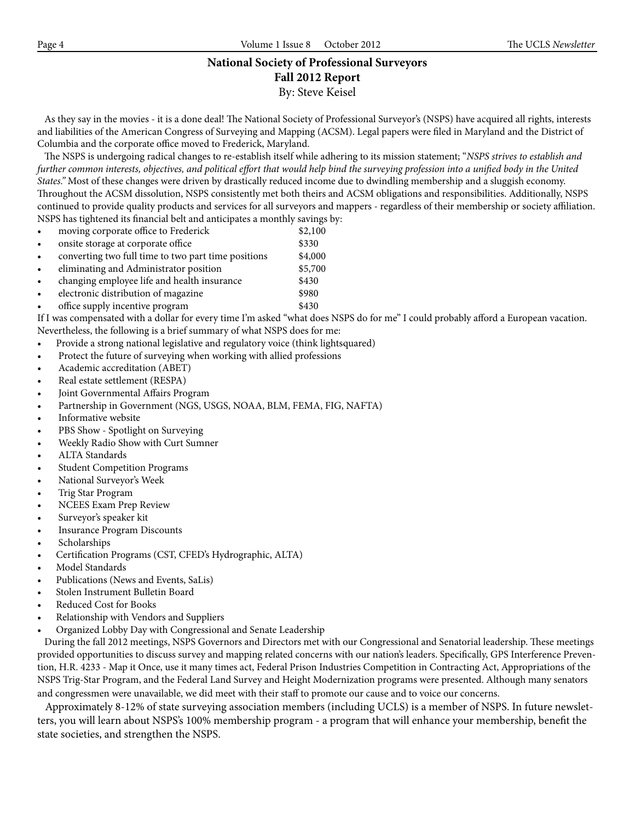# **National Society of Professional Surveyors Fall 2012 Report** By: Steve Keisel

 As they say in the movies - it is a done deal! The National Society of Professional Surveyor's (NSPS) have acquired all rights, interests and liabilities of the American Congress of Surveying and Mapping (ACSM). Legal papers were filed in Maryland and the District of Columbia and the corporate office moved to Frederick, Maryland.

 The NSPS is undergoing radical changes to re-establish itself while adhering to its mission statement; "*NSPS strives to establish and further common interests, objectives, and political effort that would help bind the surveying profession into a unified body in the United States."* Most of these changes were driven by drastically reduced income due to dwindling membership and a sluggish economy. Throughout the ACSM dissolution, NSPS consistently met both theirs and ACSM obligations and responsibilities. Additionally, NSPS continued to provide quality products and services for all surveyors and mappers - regardless of their membership or society affiliation. NSPS has tightened its financial belt and anticipates a monthly savings by:

- moving corporate office to Frederick  $$2,100$
- onsite storage at corporate office \$330
- converting two full time to two part time positions \$4,000
- eliminating and Administrator position \$5,700
- changing employee life and health insurance  $$430$
- electronic distribution of magazine  $$980$
- office supply incentive program  $$430$

If I was compensated with a dollar for every time I'm asked "what does NSPS do for me" I could probably afford a European vacation. Nevertheless, the following is a brief summary of what NSPS does for me:

- Provide a strong national legislative and regulatory voice (think lightsquared)
- Protect the future of surveying when working with allied professions
- Academic accreditation (ABET)
- Real estate settlement (RESPA)
- Joint Governmental Affairs Program
- Partnership in Government (NGS, USGS, NOAA, BLM, FEMA, FIG, NAFTA)
- Informative website
- PBS Show Spotlight on Surveying
- Weekly Radio Show with Curt Sumner
- **ALTA** Standards
- **Student Competition Programs**
- National Surveyor's Week
- Trig Star Program
- **NCEES Exam Prep Review**
- Surveyor's speaker kit
- **Insurance Program Discounts**
- **Scholarships**
- Certification Programs (CST, CFED's Hydrographic, ALTA)
- Model Standards
- Publications (News and Events, SaLis)
- Stolen Instrument Bulletin Board
- Reduced Cost for Books
- Relationship with Vendors and Suppliers
- Organized Lobby Day with Congressional and Senate Leadership

 During the fall 2012 meetings, NSPS Governors and Directors met with our Congressional and Senatorial leadership. These meetings provided opportunities to discuss survey and mapping related concerns with our nation's leaders. Specifically, GPS Interference Prevention, H.R. 4233 - Map it Once, use it many times act, Federal Prison Industries Competition in Contracting Act, Appropriations of the NSPS Trig-Star Program, and the Federal Land Survey and Height Modernization programs were presented. Although many senators and congressmen were unavailable, we did meet with their staff to promote our cause and to voice our concerns.

 Approximately 8-12% of state surveying association members (including UCLS) is a member of NSPS. In future newsletters, you will learn about NSPS's 100% membership program - a program that will enhance your membership, benefit the state societies, and strengthen the NSPS.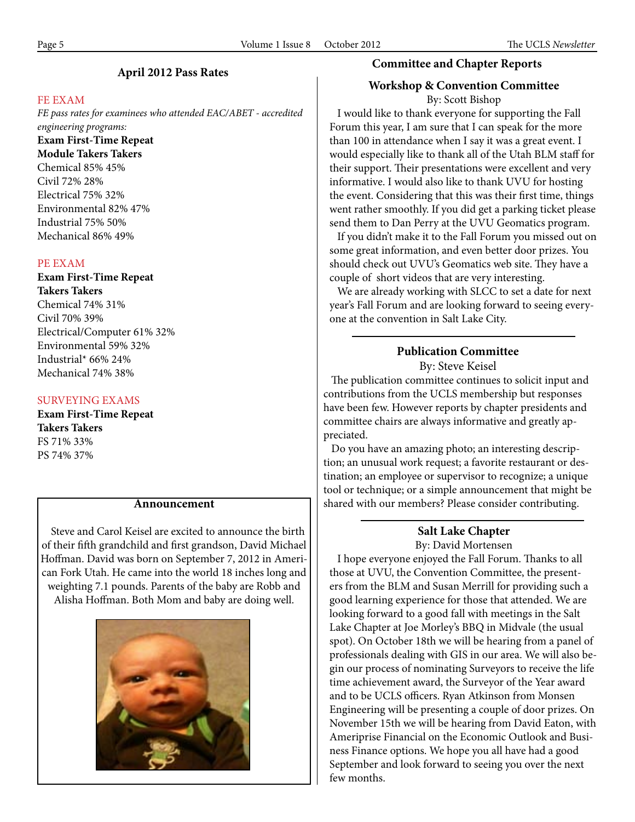# **April 2012 Pass Rates**

#### FE EXAM

*FE pass rates for examinees who attended EAC/ABET - accredited engineering programs:* **Exam First-Time Repeat Module Takers Takers** Chemical 85% 45% Civil 72% 28% Electrical 75% 32% Environmental 82% 47%

Industrial 75% 50% Mechanical 86% 49%

#### PE EXAM

**Exam First-Time Repeat Takers Takers** Chemical 74% 31% Civil 70% 39% Electrical/Computer 61% 32% Environmental 59% 32% Industrial\* 66% 24% Mechanical 74% 38%

#### SURVEYING EXAMS

**Exam First-Time Repeat Takers Takers** FS 71% 33% PS 74% 37%

 Steve and Carol Keisel are excited to announce the birth of their fifth grandchild and first grandson, David Michael Hoffman. David was born on September 7, 2012 in American Fork Utah. He came into the world 18 inches long and weighting 7.1 pounds. Parents of the baby are Robb and Alisha Hoffman. Both Mom and baby are doing well.



# **Committee and Chapter Reports**

## **Workshop & Convention Committee**

By: Scott Bishop

 I would like to thank everyone for supporting the Fall Forum this year, I am sure that I can speak for the more than 100 in attendance when I say it was a great event. I would especially like to thank all of the Utah BLM staff for their support. Their presentations were excellent and very informative. I would also like to thank UVU for hosting the event. Considering that this was their first time, things went rather smoothly. If you did get a parking ticket please send them to Dan Perry at the UVU Geomatics program.

 If you didn't make it to the Fall Forum you missed out on some great information, and even better door prizes. You should check out UVU's Geomatics web site. They have a couple of short videos that are very interesting.

 We are already working with SLCC to set a date for next year's Fall Forum and are looking forward to seeing everyone at the convention in Salt Lake City.

# **Publication Committee**

By: Steve Keisel

 The publication committee continues to solicit input and contributions from the UCLS membership but responses have been few. However reports by chapter presidents and committee chairs are always informative and greatly appreciated.

 Do you have an amazing photo; an interesting description; an unusual work request; a favorite restaurant or destination; an employee or supervisor to recognize; a unique tool or technique; or a simple announcement that might be **Announcement** shared with our members? Please consider contributing.

# **Salt Lake Chapter** By: David Mortensen

 I hope everyone enjoyed the Fall Forum. Thanks to all those at UVU, the Convention Committee, the presenters from the BLM and Susan Merrill for providing such a good learning experience for those that attended. We are looking forward to a good fall with meetings in the Salt Lake Chapter at Joe Morley's BBQ in Midvale (the usual spot). On October 18th we will be hearing from a panel of professionals dealing with GIS in our area. We will also begin our process of nominating Surveyors to receive the life time achievement award, the Surveyor of the Year award and to be UCLS officers. Ryan Atkinson from Monsen Engineering will be presenting a couple of door prizes. On November 15th we will be hearing from David Eaton, with Ameriprise Financial on the Economic Outlook and Business Finance options. We hope you all have had a good September and look forward to seeing you over the next few months.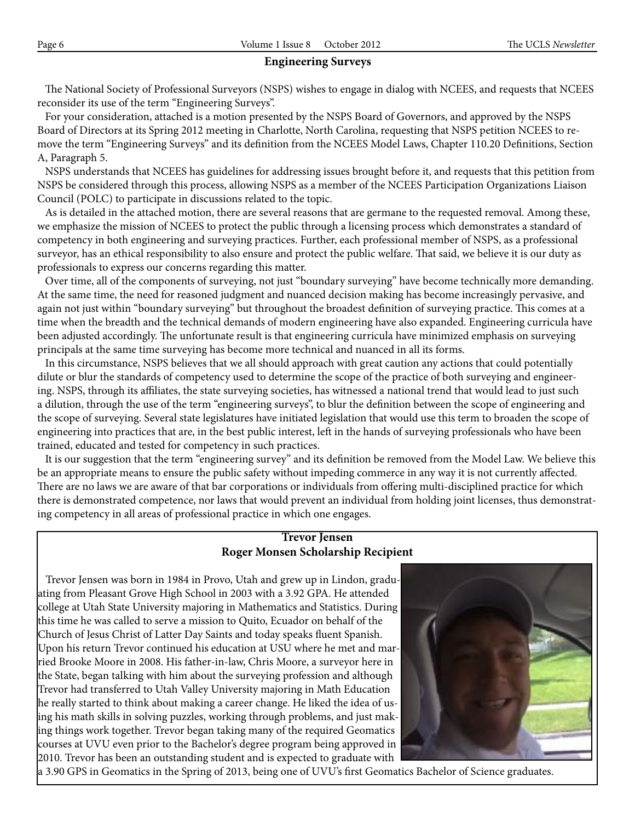# **Engineering Surveys**

 The National Society of Professional Surveyors (NSPS) wishes to engage in dialog with NCEES, and requests that NCEES reconsider its use of the term "Engineering Surveys".

 For your consideration, attached is a motion presented by the NSPS Board of Governors, and approved by the NSPS Board of Directors at its Spring 2012 meeting in Charlotte, North Carolina, requesting that NSPS petition NCEES to remove the term "Engineering Surveys" and its definition from the NCEES Model Laws, Chapter 110.20 Definitions, Section A, Paragraph 5.

 NSPS understands that NCEES has guidelines for addressing issues brought before it, and requests that this petition from NSPS be considered through this process, allowing NSPS as a member of the NCEES Participation Organizations Liaison Council (POLC) to participate in discussions related to the topic.

 As is detailed in the attached motion, there are several reasons that are germane to the requested removal. Among these, we emphasize the mission of NCEES to protect the public through a licensing process which demonstrates a standard of competency in both engineering and surveying practices. Further, each professional member of NSPS, as a professional surveyor, has an ethical responsibility to also ensure and protect the public welfare. That said, we believe it is our duty as professionals to express our concerns regarding this matter.

 Over time, all of the components of surveying, not just "boundary surveying" have become technically more demanding. At the same time, the need for reasoned judgment and nuanced decision making has become increasingly pervasive, and again not just within "boundary surveying" but throughout the broadest definition of surveying practice. This comes at a time when the breadth and the technical demands of modern engineering have also expanded. Engineering curricula have been adjusted accordingly. The unfortunate result is that engineering curricula have minimized emphasis on surveying principals at the same time surveying has become more technical and nuanced in all its forms.

 In this circumstance, NSPS believes that we all should approach with great caution any actions that could potentially dilute or blur the standards of competency used to determine the scope of the practice of both surveying and engineering. NSPS, through its affiliates, the state surveying societies, has witnessed a national trend that would lead to just such a dilution, through the use of the term "engineering surveys", to blur the definition between the scope of engineering and the scope of surveying. Several state legislatures have initiated legislation that would use this term to broaden the scope of engineering into practices that are, in the best public interest, left in the hands of surveying professionals who have been trained, educated and tested for competency in such practices.

 It is our suggestion that the term "engineering survey" and its definition be removed from the Model Law. We believe this be an appropriate means to ensure the public safety without impeding commerce in any way it is not currently affected. There are no laws we are aware of that bar corporations or individuals from offering multi-disciplined practice for which there is demonstrated competence, nor laws that would prevent an individual from holding joint licenses, thus demonstrating competency in all areas of professional practice in which one engages.

# **Trevor Jensen Roger Monsen Scholarship Recipient**

 Trevor Jensen was born in 1984 in Provo, Utah and grew up in Lindon, graduating from Pleasant Grove High School in 2003 with a 3.92 GPA. He attended college at Utah State University majoring in Mathematics and Statistics. During this time he was called to serve a mission to Quito, Ecuador on behalf of the Church of Jesus Christ of Latter Day Saints and today speaks fluent Spanish. Upon his return Trevor continued his education at USU where he met and married Brooke Moore in 2008. His father-in-law, Chris Moore, a surveyor here in the State, began talking with him about the surveying profession and although Trevor had transferred to Utah Valley University majoring in Math Education he really started to think about making a career change. He liked the idea of using his math skills in solving puzzles, working through problems, and just making things work together. Trevor began taking many of the required Geomatics courses at UVU even prior to the Bachelor's degree program being approved in 2010. Trevor has been an outstanding student and is expected to graduate with



a 3.90 GPS in Geomatics in the Spring of 2013, being one of UVU's first Geomatics Bachelor of Science graduates.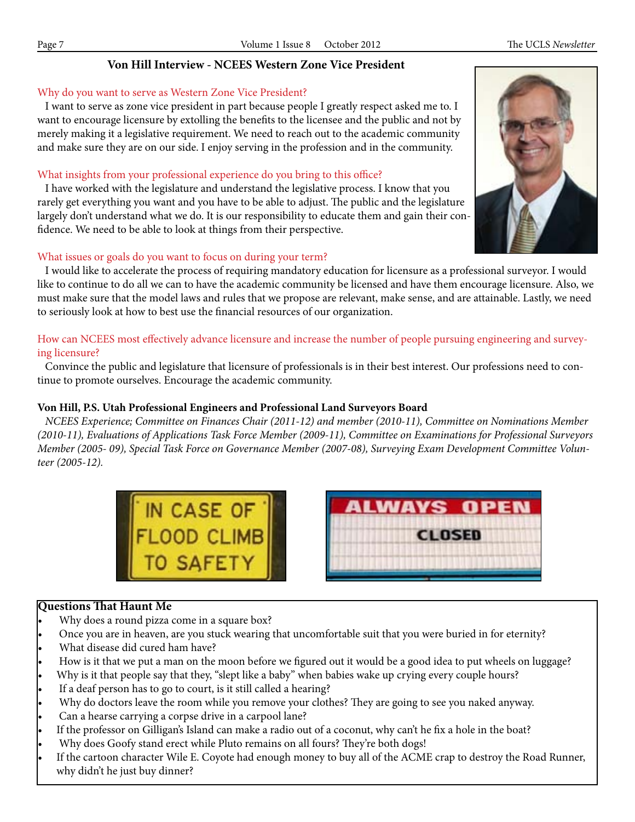# **Von Hill Interview - NCEES Western Zone Vice President**

# Why do you want to serve as Western Zone Vice President?

 I want to serve as zone vice president in part because people I greatly respect asked me to. I want to encourage licensure by extolling the benefits to the licensee and the public and not by merely making it a legislative requirement. We need to reach out to the academic community and make sure they are on our side. I enjoy serving in the profession and in the community.

# What insights from your professional experience do you bring to this office?

 I have worked with the legislature and understand the legislative process. I know that you rarely get everything you want and you have to be able to adjust. The public and the legislature largely don't understand what we do. It is our responsibility to educate them and gain their confidence. We need to be able to look at things from their perspective.

# What issues or goals do you want to focus on during your term?

 I would like to accelerate the process of requiring mandatory education for licensure as a professional surveyor. I would like to continue to do all we can to have the academic community be licensed and have them encourage licensure. Also, we must make sure that the model laws and rules that we propose are relevant, make sense, and are attainable. Lastly, we need to seriously look at how to best use the financial resources of our organization.

# How can NCEES most effectively advance licensure and increase the number of people pursuing engineering and surveying licensure?

Convince the public and legislature that licensure of professionals is in their best interest. Our professions need to continue to promote ourselves. Encourage the academic community.

# **Von Hill, P.S. Utah Professional Engineers and Professional Land Surveyors Board**

IN CASE OF THE

 *NCEES Experience; Committee on Finances Chair (2011-12) and member (2010-11), Committee on Nominations Member (2010-11), Evaluations of Applications Task Force Member (2009-11), Committee on Examinations for Professional Surveyors Member (2005- 09), Special Task Force on Governance Member (2007-08), Surveying Exam Development Committee Volunteer (2005-12).*

**LWAYS OPEN** 

**CLOSED** 



- Why does a round pizza come in a square box?
- Once you are in heaven, are you stuck wearing that uncomfortable suit that you were buried in for eternity?
- What disease did cured ham have?
- How is it that we put a man on the moon before we figured out it would be a good idea to put wheels on luggage?
- Why is it that people say that they, "slept like a baby" when babies wake up crying every couple hours?
- If a deaf person has to go to court, is it still called a hearing?
- Why do doctors leave the room while you remove your clothes? They are going to see you naked anyway.
- Can a hearse carrying a corpse drive in a carpool lane?
- If the professor on Gilligan's Island can make a radio out of a coconut, why can't he fix a hole in the boat?
- Why does Goofy stand erect while Pluto remains on all fours? They're both dogs!
- If the cartoon character Wile E. Coyote had enough money to buy all of the ACME crap to destroy the Road Runner, why didn't he just buy dinner?

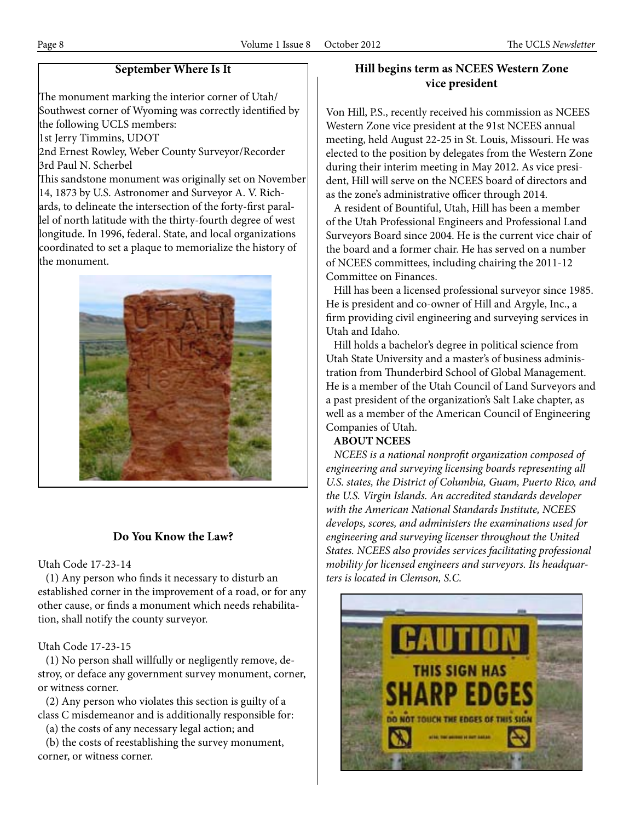# **September Where Is It**

The monument marking the interior corner of Utah/ Southwest corner of Wyoming was correctly identified by the following UCLS members:

1st Jerry Timmins, UDOT

2nd Ernest Rowley, Weber County Surveyor/Recorder 3rd Paul N. Scherbel

This sandstone monument was originally set on November 14, 1873 by U.S. Astronomer and Surveyor A. V. Richards, to delineate the intersection of the forty-first parallel of north latitude with the thirty-fourth degree of west longitude. In 1996, federal. State, and local organizations coordinated to set a plaque to memorialize the history of the monument.



# **Do You Know the Law?**

# Utah Code 17-23-14

 (1) Any person who finds it necessary to disturb an established corner in the improvement of a road, or for any other cause, or finds a monument which needs rehabilitation, shall notify the county surveyor.

#### Utah Code 17-23-15

 (1) No person shall willfully or negligently remove, destroy, or deface any government survey monument, corner, or witness corner.

 (2) Any person who violates this section is guilty of a class C misdemeanor and is additionally responsible for:

(a) the costs of any necessary legal action; and

 (b) the costs of reestablishing the survey monument, corner, or witness corner.

# **Hill begins term as NCEES Western Zone vice president**

Von Hill, P.S., recently received his commission as NCEES Western Zone vice president at the 91st NCEES annual meeting, held August 22-25 in St. Louis, Missouri. He was elected to the position by delegates from the Western Zone during their interim meeting in May 2012. As vice president, Hill will serve on the NCEES board of directors and as the zone's administrative officer through 2014.

 A resident of Bountiful, Utah, Hill has been a member of the Utah Professional Engineers and Professional Land Surveyors Board since 2004. He is the current vice chair of the board and a former chair. He has served on a number of NCEES committees, including chairing the 2011-12 Committee on Finances.

 Hill has been a licensed professional surveyor since 1985. He is president and co-owner of Hill and Argyle, Inc., a firm providing civil engineering and surveying services in Utah and Idaho.

 Hill holds a bachelor's degree in political science from Utah State University and a master's of business administration from Thunderbird School of Global Management. He is a member of the Utah Council of Land Surveyors and a past president of the organization's Salt Lake chapter, as well as a member of the American Council of Engineering Companies of Utah.

# **ABOUT NCEES**

 *NCEES is a national nonprofit organization composed of engineering and surveying licensing boards representing all U.S. states, the District of Columbia, Guam, Puerto Rico, and the U.S. Virgin Islands. An accredited standards developer with the American National Standards Institute, NCEES develops, scores, and administers the examinations used for engineering and surveying licenser throughout the United States. NCEES also provides services facilitating professional mobility for licensed engineers and surveyors. Its headquarters is located in Clemson, S.C.*

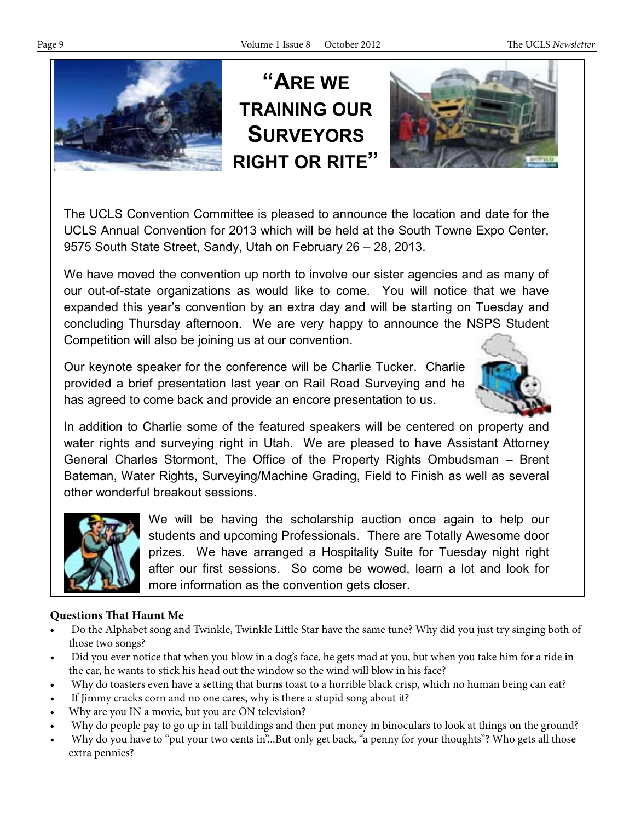

**"ARE WE TRAINING OUR SURVEYORS RIGHT OR RITE"**



The UCLS Convention Committee is pleased to announce the location and date for the UCLS Annual Convention for 2013 which will be held at the South Towne Expo Center, 9575 South State Street, Sandy, Utah on February 26 – 28, 2013.

We have moved the convention up north to involve our sister agencies and as many of our out-of-state organizations as would like to come. You will notice that we have expanded this year's convention by an extra day and will be starting on Tuesday and concluding Thursday afternoon. We are very happy to announce the NSPS Student Competition will also be joining us at our convention.

Our keynote speaker for the conference will be Charlie Tucker. Charlie provided a brief presentation last year on Rail Road Surveying and he has agreed to come back and provide an encore presentation to us.



In addition to Charlie some of the featured speakers will be centered on property and water rights and surveying right in Utah. We are pleased to have Assistant Attorney General Charles Stormont, The Office of the Property Rights Ombudsman – Brent Bateman, Water Rights, Surveying/Machine Grading, Field to Finish as well as several other wonderful breakout sessions.



We will be having the scholarship auction once again to help our students and upcoming Professionals. There are Totally Awesome door prizes. We have arranged a Hospitality Suite for Tuesday night right after our first sessions. So come be wowed, learn a lot and look for more information as the convention gets closer.

# **Questions That Haunt Me**

- Do the Alphabet song and Twinkle, Twinkle Little Star have the same tune? Why did you just try singing both of those two songs?
- Did you ever notice that when you blow in a dog's face, he gets mad at you, but when you take him for a ride in the car, he wants to stick his head out the window so the wind will blow in his face?
- Why do toasters even have a setting that burns toast to a horrible black crisp, which no human being can eat?
- If Jimmy cracks corn and no one cares, why is there a stupid song about it?
- Why are you IN a movie, but you are ON television?
- Why do people pay to go up in tall buildings and then put money in binoculars to look at things on the ground?
- Why do you have to "put your two cents in"...But only get back, "a penny for your thoughts"? Who gets all those extra pennies?